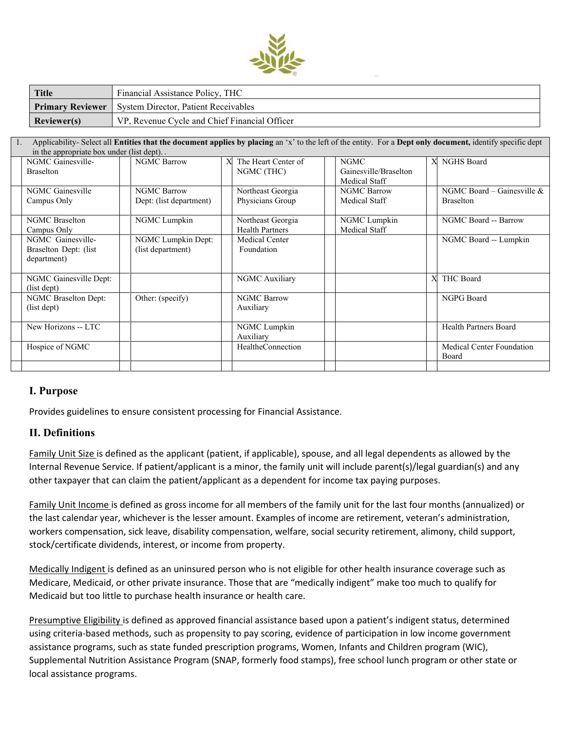

| <b>Title</b> | Financial Assistance Policy, THC                               |  |  |  |  |
|--------------|----------------------------------------------------------------|--|--|--|--|
|              | <b>Primary Reviewer</b>   System Director, Patient Receivables |  |  |  |  |
| Reviewer(s)  | VP, Revenue Cycle and Chief Financial Officer                  |  |  |  |  |

| $\mathbf{1}$ . | Applicability- Select all Entities that the document applies by placing an 'x' to the left of the entity. For a Dept only document, identify specific dept |                         |   |                          |  |                       |   |                                  |  |  |  |
|----------------|------------------------------------------------------------------------------------------------------------------------------------------------------------|-------------------------|---|--------------------------|--|-----------------------|---|----------------------------------|--|--|--|
|                | in the appropriate box under (list dept)                                                                                                                   |                         |   |                          |  |                       |   |                                  |  |  |  |
|                | NGMC Gainesville-                                                                                                                                          | <b>NGMC Barrow</b>      | X | The Heart Center of      |  | <b>NGMC</b>           |   | X NGHS Board                     |  |  |  |
|                | <b>Braselton</b>                                                                                                                                           |                         |   | NGMC (THC)               |  | Gainesville/Braselton |   |                                  |  |  |  |
|                |                                                                                                                                                            |                         |   |                          |  | Medical Staff         |   |                                  |  |  |  |
|                | NGMC Gainesville                                                                                                                                           | <b>NGMC Barrow</b>      |   | Northeast Georgia        |  | <b>NGMC Barrow</b>    |   | NGMC Board – Gainesville $&$     |  |  |  |
|                | Campus Only                                                                                                                                                | Dept: (list department) |   | Physicians Group         |  | Medical Staff         |   | <b>Braselton</b>                 |  |  |  |
|                |                                                                                                                                                            |                         |   |                          |  |                       |   |                                  |  |  |  |
|                | <b>NGMC</b> Braselton                                                                                                                                      | NGMC Lumpkin            |   | Northeast Georgia        |  | NGMC Lumpkin          |   | NGMC Board -- Barrow             |  |  |  |
|                | Campus Only                                                                                                                                                |                         |   | <b>Health Partners</b>   |  | Medical Staff         |   |                                  |  |  |  |
|                | NGMC Gainesville-                                                                                                                                          | NGMC Lumpkin Dept:      |   | Medical Center           |  |                       |   | NGMC Board -- Lumpkin            |  |  |  |
|                | Braselton Dept: (list)                                                                                                                                     | (list department)       |   | Foundation               |  |                       |   |                                  |  |  |  |
|                | department)                                                                                                                                                |                         |   |                          |  |                       |   |                                  |  |  |  |
|                |                                                                                                                                                            |                         |   |                          |  |                       |   |                                  |  |  |  |
|                | NGMC Gainesville Dept:                                                                                                                                     |                         |   | NGMC Auxiliary           |  |                       | X | THC Board                        |  |  |  |
|                | (list dept)                                                                                                                                                |                         |   |                          |  |                       |   |                                  |  |  |  |
|                | <b>NGMC Braselton Dept:</b>                                                                                                                                | Other: (specify)        |   | <b>NGMC Barrow</b>       |  |                       |   | NGPG Board                       |  |  |  |
|                | (list dept)                                                                                                                                                |                         |   | Auxiliary                |  |                       |   |                                  |  |  |  |
|                |                                                                                                                                                            |                         |   |                          |  |                       |   |                                  |  |  |  |
|                | New Horizons -- LTC                                                                                                                                        |                         |   | NGMC Lumpkin             |  |                       |   | Health Partners Board            |  |  |  |
|                |                                                                                                                                                            |                         |   | Auxiliary                |  |                       |   |                                  |  |  |  |
|                | Hospice of NGMC                                                                                                                                            |                         |   | <b>HealtheConnection</b> |  |                       |   | <b>Medical Center Foundation</b> |  |  |  |
|                |                                                                                                                                                            |                         |   |                          |  |                       |   | Board                            |  |  |  |
|                |                                                                                                                                                            |                         |   |                          |  |                       |   |                                  |  |  |  |
|                |                                                                                                                                                            |                         |   |                          |  |                       |   |                                  |  |  |  |

## **I. Purpose**

Provides guidelines to ensure consistent processing for Financial Assistance.

## **II. Definitions**

Family Unit Size is defined as the applicant (patient, if applicable), spouse, and all legal dependents as allowed by the Internal Revenue Service. If patient/applicant is a minor, the family unit will include parent(s)/legal guardian(s) and any other taxpayer that can claim the patient/applicant as a dependent for income tax paying purposes.

Family Unit Income is defined as gross income for all members of the family unit for the last four months (annualized) or the last calendar year, whichever is the lesser amount. Examples of income are retirement, veteran's administration, workers compensation, sick leave, disability compensation, welfare, social security retirement, alimony, child support, stock/certificate dividends, interest, or income from property.

Medically Indigent is defined as an uninsured person who is not eligible for other health insurance coverage such as Medicare, Medicaid, or other private insurance. Those that are "medically indigent" make too much to qualify for Medicaid but too little to purchase health insurance or health care.

Presumptive Eligibility is defined as approved financial assistance based upon a patient's indigent status, determined using criteria-based methods, such as propensity to pay scoring, evidence of participation in low income government assistance programs, such as state funded prescription programs, Women, Infants and Children program (WIC), Supplemental Nutrition Assistance Program (SNAP, formerly food stamps), free school lunch program or other state or local assistance programs.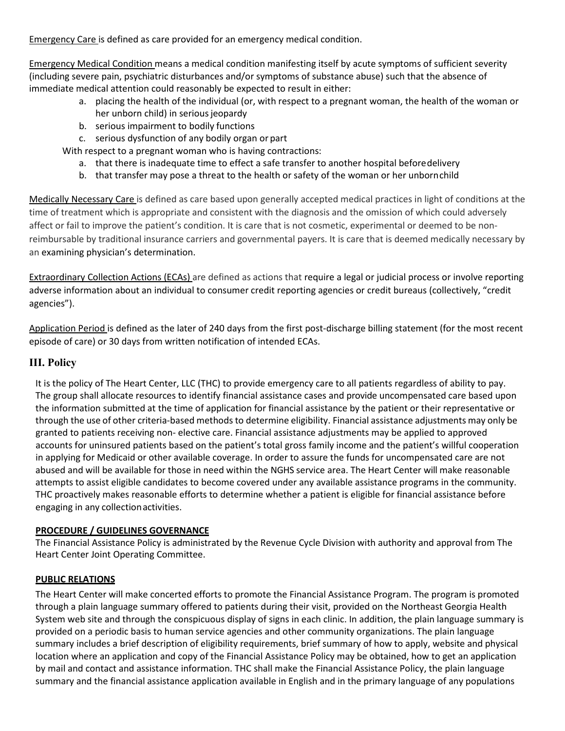Emergency Care is defined as care provided for an emergency medical condition.

Emergency Medical Condition means a medical condition manifesting itself by acute symptoms of sufficient severity (including severe pain, psychiatric disturbances and/or symptoms of substance abuse) such that the absence of immediate medical attention could reasonably be expected to result in either:

- a. placing the health of the individual (or, with respect to a pregnant woman, the health of the woman or her unborn child) in serious jeopardy
- b. serious impairment to bodily functions
- c. serious dysfunction of any bodily organ or part

With respect to a pregnant woman who is having contractions:

- a. that there is inadequate time to effect a safe transfer to another hospital beforedelivery
- b. that transfer may pose a threat to the health or safety of the woman or her unbornchild

Medically Necessary Care is defined as care based upon generally accepted medical practices in light of conditions at the time of treatment which is appropriate and consistent with the diagnosis and the omission of which could adversely affect or fail to improve the patient's condition. It is care that is not cosmetic, experimental or deemed to be nonreimbursable by traditional insurance carriers and governmental payers. It is care that is deemed medically necessary by an examining physician's determination.

Extraordinary Collection Actions (ECAs) are defined as actions that require a legal or judicial process or involve reporting adverse information about an individual to consumer credit reporting agencies or credit bureaus (collectively, "credit agencies").

Application Period is defined as the later of 240 days from the first post-discharge billing statement (for the most recent episode of care) or 30 days from written notification of intended ECAs.

### **III. Policy**

It is the policy of The Heart Center, LLC (THC) to provide emergency care to all patients regardless of ability to pay. The group shall allocate resources to identify financial assistance cases and provide uncompensated care based upon the information submitted at the time of application for financial assistance by the patient or their representative or through the use of other criteria-based methods to determine eligibility. Financial assistance adjustments may only be granted to patients receiving non- elective care. Financial assistance adjustments may be applied to approved accounts for uninsured patients based on the patient's total gross family income and the patient's willful cooperation in applying for Medicaid or other available coverage. In order to assure the funds for uncompensated care are not abused and will be available for those in need within the NGHS service area. The Heart Center will make reasonable attempts to assist eligible candidates to become covered under any available assistance programs in the community. THC proactively makes reasonable efforts to determine whether a patient is eligible for financial assistance before engaging in any collectionactivities.

### **PROCEDURE / GUIDELINES GOVERNANCE**

The Financial Assistance Policy is administrated by the Revenue Cycle Division with authority and approval from The Heart Center Joint Operating Committee.

### **PUBLIC RELATIONS**

The Heart Center will make concerted efforts to promote the Financial Assistance Program. The program is promoted through a plain language summary offered to patients during their visit, provided on the Northeast Georgia Health System web site and through the conspicuous display of signs in each clinic. In addition, the plain language summary is provided on a periodic basis to human service agencies and other community organizations. The plain language summary includes a brief description of eligibility requirements, brief summary of how to apply, website and physical location where an application and copy of the Financial Assistance Policy may be obtained, how to get an application by mail and contact and assistance information. THC shall make the Financial Assistance Policy, the plain language summary and the financial assistance application available in English and in the primary language of any populations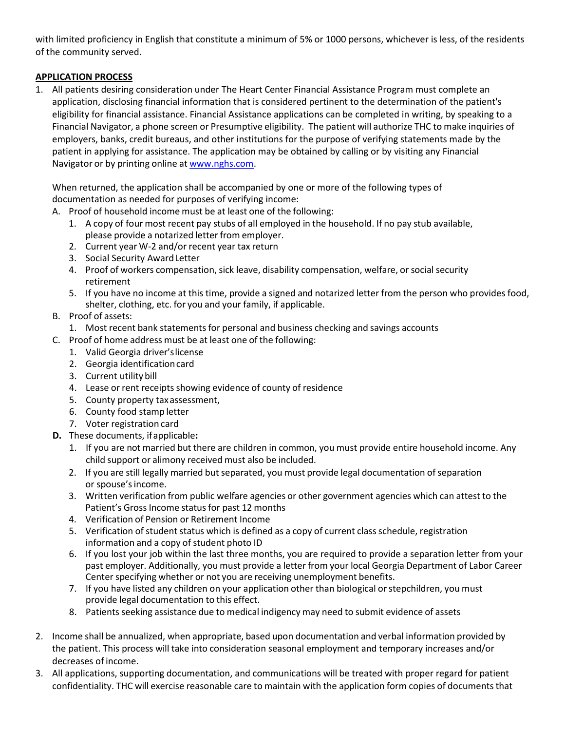with limited proficiency in English that constitute a minimum of 5% or 1000 persons, whichever is less, of the residents of the community served.

# **APPLICATION PROCESS**

1. All patients desiring consideration under The Heart Center Financial Assistance Program must complete an application, disclosing financial information that is considered pertinent to the determination of the patient's eligibility for financial assistance. Financial Assistance applications can be completed in writing, by speaking to a Financial Navigator, a phone screen or Presumptive eligibility. The patient will authorize THC to make inquiries of employers, banks, credit bureaus, and other institutions for the purpose of verifying statements made by the patient in applying for assistance. The application may be obtained by calling or by visiting any Financial Navigator or by printing online at [www.nghs.com.](http://www.nghs.com/)

When returned, the application shall be accompanied by one or more of the following types of documentation as needed for purposes of verifying income:

A. Proof of household income must be at least one of the following:

- 1. A copy of four most recent pay stubs of all employed in the household. If no pay stub available, please provide a notarized letter from employer.
- 2. Current year W-2 and/or recent year tax return
- 3. Social Security AwardLetter
- 4. Proof of workers compensation, sick leave, disability compensation, welfare, or social security retirement
- 5. If you have no income at this time, provide a signed and notarized letter from the person who provides food, shelter, clothing, etc. for you and your family, if applicable.
- B. Proof of assets:
	- 1. Most recent bank statements for personal and business checking and savings accounts
- C. Proof of home address must be at least one of the following:
	- 1. Valid Georgia driver'slicense
	- 2. Georgia identificationcard
	- 3. Current utility bill
	- 4. Lease or rent receipts showing evidence of county of residence
	- 5. County property taxassessment,
	- 6. County food stamp letter
	- 7. Voter registration card
- **D.** These documents, ifapplicable**:**
	- 1. If you are not married but there are children in common, you must provide entire household income. Any child support or alimony received must also be included.
	- 2. If you are still legally married but separated, you must provide legal documentation of separation or spouse'sincome.
	- 3. Written verification from public welfare agencies or other government agencies which can attest to the Patient's Gross Income status for past 12 months
	- 4. Verification of Pension or Retirement Income
	- 5. Verification of student status which is defined as a copy of current class schedule, registration information and a copy of student photo ID
	- 6. If you lost your job within the last three months, you are required to provide a separation letter from your past employer. Additionally, you must provide a letter from your local Georgia Department of Labor Career Center specifying whether or not you are receiving unemployment benefits.
	- 7. If you have listed any children on your application other than biological or stepchildren, you must provide legal documentation to this effect.
	- 8. Patients seeking assistance due to medical indigency may need to submit evidence of assets
- 2. Income shall be annualized, when appropriate, based upon documentation and verbal information provided by the patient. This process will take into consideration seasonal employment and temporary increases and/or decreases of income.
- 3. All applications, supporting documentation, and communications will be treated with proper regard for patient confidentiality. THC will exercise reasonable care to maintain with the application form copies of documents that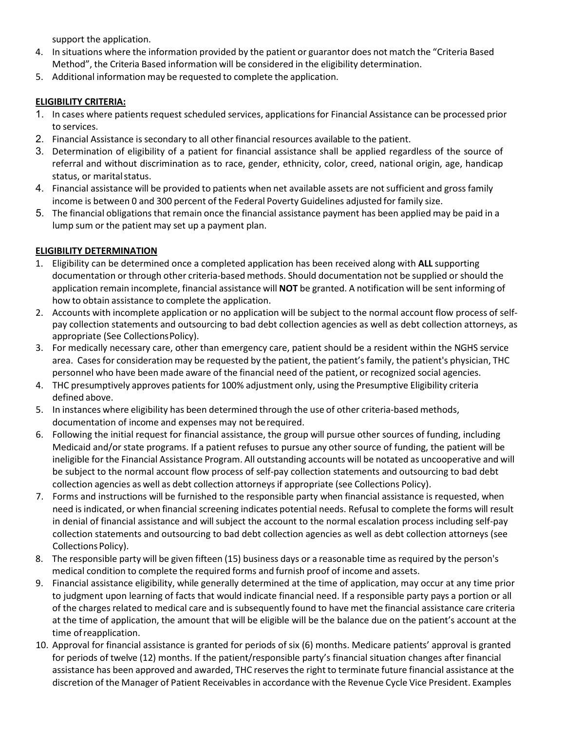support the application.

- 4. In situations where the information provided by the patient or guarantor does not match the "Criteria Based Method", the Criteria Based information will be considered in the eligibility determination.
- 5. Additional information may be requested to complete the application.

## **ELIGIBILITY CRITERIA:**

- 1. In cases where patients request scheduled services, applicationsfor Financial Assistance can be processed prior to services.
- 2. Financial Assistance is secondary to all other financial resources available to the patient.
- 3. Determination of eligibility of a patient for financial assistance shall be applied regardless of the source of referral and without discrimination as to race, gender, ethnicity, color, creed, national origin, age, handicap status, or marital status.
- 4. Financial assistance will be provided to patients when net available assets are notsufficient and gross family income is between 0 and 300 percent of the Federal Poverty Guidelines adjusted for family size.
- 5. The financial obligations that remain once the financial assistance payment has been applied may be paid in a lump sum or the patient may set up a payment plan.

# **ELIGIBILITY DETERMINATION**

- 1. Eligibility can be determined once a completed application has been received along with **ALL** supporting documentation or through other criteria-based methods. Should documentation not be supplied or should the application remain incomplete, financial assistance will **NOT** be granted. A notification will be sent informing of how to obtain assistance to complete the application.
- 2. Accounts with incomplete application or no application will be subject to the normal account flow process of selfpay collection statements and outsourcing to bad debt collection agencies as well as debt collection attorneys, as appropriate (See CollectionsPolicy).
- 3. For medically necessary care, other than emergency care, patient should be a resident within the NGHS service area. Cases for consideration may be requested by the patient, the patient's family, the patient's physician, THC personnel who have been made aware of the financial need of the patient, or recognized social agencies.
- 4. THC presumptively approves patients for 100% adjustment only, using the Presumptive Eligibility criteria defined above.
- 5. In instances where eligibility has been determined through the use of other criteria-based methods, documentation of income and expenses may not berequired.
- 6. Following the initial request for financial assistance, the group will pursue other sources of funding, including Medicaid and/or state programs. If a patient refuses to pursue any other source of funding, the patient will be ineligible for the Financial Assistance Program. All outstanding accounts will be notated as uncooperative and will be subject to the normal account flow process of self-pay collection statements and outsourcing to bad debt collection agencies as well as debt collection attorneys if appropriate (see Collections Policy).
- 7. Forms and instructions will be furnished to the responsible party when financial assistance is requested, when need is indicated, or when financial screening indicates potential needs. Refusal to complete the forms will result in denial of financial assistance and will subject the account to the normal escalation process including self-pay collection statements and outsourcing to bad debt collection agencies as well as debt collection attorneys (see Collections Policy).
- 8. The responsible party will be given fifteen (15) business days or a reasonable time as required by the person's medical condition to complete the required forms and furnish proof of income and assets.
- 9. Financial assistance eligibility, while generally determined at the time of application, may occur at any time prior to judgment upon learning of facts that would indicate financial need. If a responsible party pays a portion or all of the charges related to medical care and is subsequently found to have met the financial assistance care criteria at the time of application, the amount that will be eligible will be the balance due on the patient's account at the time ofreapplication.
- 10. Approval for financial assistance is granted for periods of six (6) months. Medicare patients' approval is granted for periods of twelve (12) months. If the patient/responsible party's financial situation changes after financial assistance has been approved and awarded, THC reservesthe right to terminate future financial assistance at the discretion of the Manager of Patient Receivables in accordance with the Revenue Cycle Vice President. Examples